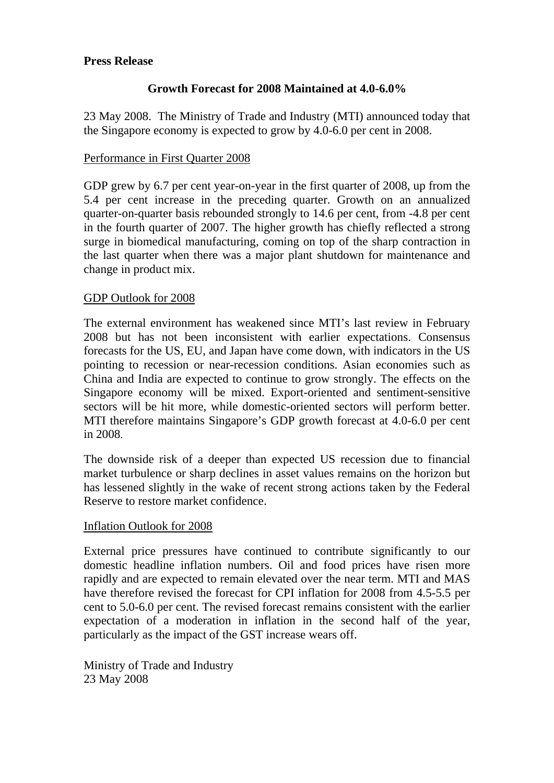## **Press Release**

# **Growth Forecast for 2008 Maintained at 4.0-6.0%**

23 May 2008. The Ministry of Trade and Industry (MTI) announced today that the Singapore economy is expected to grow by 4.0-6.0 per cent in 2008.

## Performance in First Quarter 2008

GDP grew by 6.7 per cent year-on-year in the first quarter of 2008, up from the 5.4 per cent increase in the preceding quarter. Growth on an annualized quarter-on-quarter basis rebounded strongly to 14.6 per cent, from -4.8 per cent in the fourth quarter of 2007. The higher growth has chiefly reflected a strong surge in biomedical manufacturing, coming on top of the sharp contraction in the last quarter when there was a major plant shutdown for maintenance and change in product mix.

### GDP Outlook for 2008

The external environment has weakened since MTI's last review in February 2008 but has not been inconsistent with earlier expectations. Consensus forecasts for the US, EU, and Japan have come down, with indicators in the US pointing to recession or near-recession conditions. Asian economies such as China and India are expected to continue to grow strongly. The effects on the Singapore economy will be mixed. Export-oriented and sentiment-sensitive sectors will be hit more, while domestic-oriented sectors will perform better. MTI therefore maintains Singapore's GDP growth forecast at 4.0-6.0 per cent in 2008.

The downside risk of a deeper than expected US recession due to financial market turbulence or sharp declines in asset values remains on the horizon but has lessened slightly in the wake of recent strong actions taken by the Federal Reserve to restore market confidence.

#### Inflation Outlook for 2008

External price pressures have continued to contribute significantly to our domestic headline inflation numbers. Oil and food prices have risen more rapidly and are expected to remain elevated over the near term. MTI and MAS have therefore revised the forecast for CPI inflation for 2008 from 4.5-5.5 per cent to 5.0-6.0 per cent. The revised forecast remains consistent with the earlier expectation of a moderation in inflation in the second half of the year, particularly as the impact of the GST increase wears off.

Ministry of Trade and Industry 23 May 2008